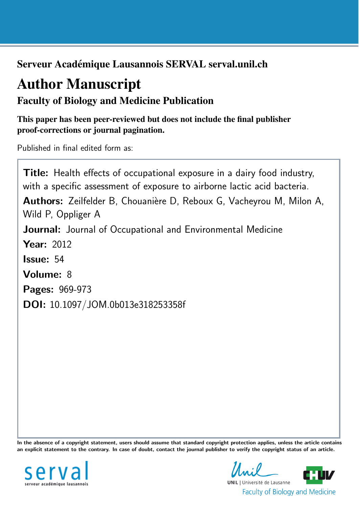Serveur Académique Lausannois SERVAL serval.unil.ch

# Author Manuscript

# Faculty of Biology and Medicine Publication

This paper has been peer-reviewed but does not include the final publisher proof-corrections or journal pagination.

Published in final edited form as:

Title: Health effects of occupational exposure in a dairy food industry, with a specific assessment of exposure to airborne lactic acid bacteria. Authors: Zeilfelder B, Chouanière D, Reboux G, Vacheyrou M, Milon A, Wild P, Oppliger A Journal: Journal of Occupational and Environmental Medicine **Year: 2012** Issue: 54 Volume: 8 Pages: 969-973 DOI: [10.1097/JOM.0b013e318253358f](http://dx.doi.org/10.1097/JOM.0b013e318253358f)

In the absence of a copyright statement, users should assume that standard copyright protection applies, unless the article contains an explicit statement to the contrary. In case of doubt, contact the journal publisher to verify the copyright status of an article.



**UNIL** | Université de Lausanne **Faculty of Biology and Medicine**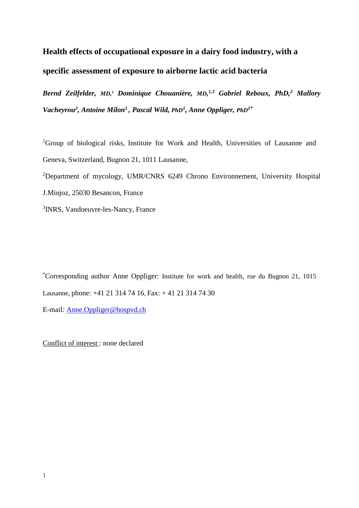# **Health effects of occupational exposure in a dairy food industry, with a specific assessment of exposure to airborne lactic acid bacteria**

*Bernd Zeilfelder, MD,1 Dominique Chouanière, MD, 1,3 Gabriel Reboux, PhD,2 Mallory Vacheyrou2, Antoine Milon1 , Pascal Wild, PhD1, Anne Oppliger, PhD1\**

<sup>1</sup>Group of biological risks, Institute for Work and Health, Universities of Lausanne and Geneva, Switzerland, Bugnon 21, 1011 Lausanne,

*2* Department of mycology, UMR/CNRS 6249 Chrono Environnement, University Hospital

J.Minjoz, 25030 Besancon, France

3 INRS, Vandoeuvre-les-Nancy, France

\* Corresponding author Anne Oppliger: Institute for work and health, rue du Bugnon 21, 1015 Lausanne, phone: +41 21 314 74 16, Fax: + 41 21 314 74 30

E-mail*:* [Anne.Oppliger@hospvd.ch](mailto:Anne.Oppliger@hospvd.ch)

Conflict of interest : none declared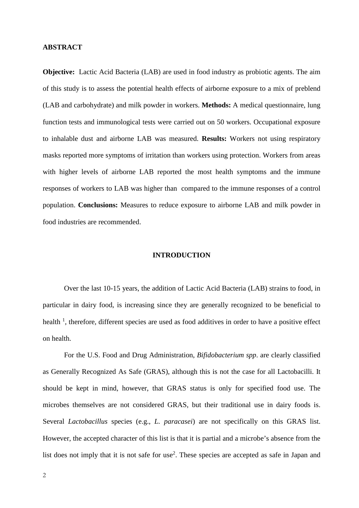# **ABSTRACT**

**Objective:** Lactic Acid Bacteria (LAB) are used in food industry as probiotic agents. The aim of this study is to assess the potential health effects of airborne exposure to a mix of preblend (LAB and carbohydrate) and milk powder in workers. **Methods:** A medical questionnaire, lung function tests and immunological tests were carried out on 50 workers. Occupational exposure to inhalable dust and airborne LAB was measured. **Results:** Workers not using respiratory masks reported more symptoms of irritation than workers using protection. Workers from areas with higher levels of airborne LAB reported the most health symptoms and the immune responses of workers to LAB was higher than compared to the immune responses of a control population. **Conclusions:** Measures to reduce exposure to airborne LAB and milk powder in food industries are recommended.

# **INTRODUCTION**

Over the last 10-15 years, the addition of Lactic Acid Bacteria (LAB) strains to food, in particular in dairy food, is increasing since they are generally recognized to be beneficial to health<sup>1</sup>, therefore, different species are used as food additives in order to have a positive effect on health.

For the U.S. Food and Drug Administration, *Bifidobacterium spp*. are clearly classified as Generally Recognized As Safe (GRAS), although this is not the case for all Lactobacilli. It should be kept in mind, however, that GRAS status is only for specified food use. The microbes themselves are not considered GRAS, but their traditional use in dairy foods is. Several *Lactobacillus* species (e.g., *L. paracasei*) are not specifically on this GRAS list. However, the accepted character of this list is that it is partial and a microbe's absence from the list does not imply that it is not safe for use<sup>2</sup>. These species are accepted as safe in Japan and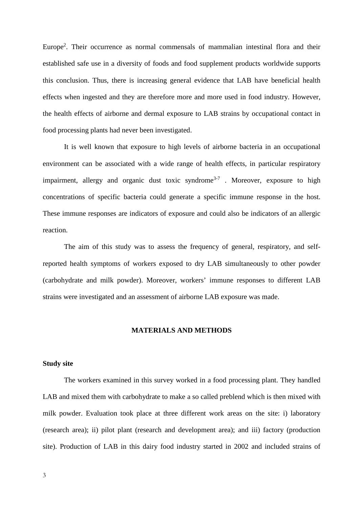Europe<sup>2</sup>. Their occurrence as normal commensals of mammalian intestinal flora and their established safe use in a diversity of foods and food supplement products worldwide supports this conclusion. Thus, there is increasing general evidence that LAB have beneficial health effects when ingested and they are therefore more and more used in food industry. However, the health effects of airborne and dermal exposure to LAB strains by occupational contact in food processing plants had never been investigated.

It is well known that exposure to high levels of airborne bacteria in an occupational environment can be associated with a wide range of health effects, in particular respiratory impairment, allergy and organic dust toxic syndrome<sup>3-7</sup>. Moreover, exposure to high concentrations of specific bacteria could generate a specific immune response in the host. These immune responses are indicators of exposure and could also be indicators of an allergic reaction.

The aim of this study was to assess the frequency of general, respiratory, and selfreported health symptoms of workers exposed to dry LAB simultaneously to other powder (carbohydrate and milk powder). Moreover, workers' immune responses to different LAB strains were investigated and an assessment of airborne LAB exposure was made.

#### **MATERIALS AND METHODS**

#### **Study site**

The workers examined in this survey worked in a food processing plant. They handled LAB and mixed them with carbohydrate to make a so called preblend which is then mixed with milk powder. Evaluation took place at three different work areas on the site: i) laboratory (research area); ii) pilot plant (research and development area); and iii) factory (production site). Production of LAB in this dairy food industry started in 2002 and included strains of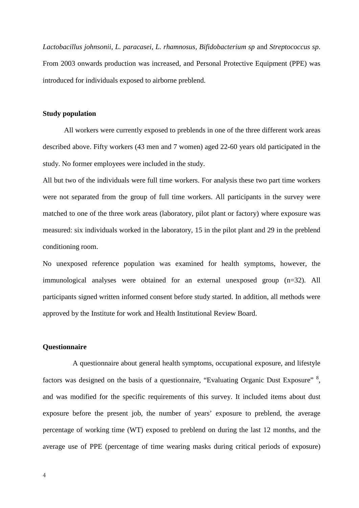*Lactobacillus johnsonii, L. paracasei, L. rhamnosus, Bifidobacterium sp* and *Streptococcus sp*. From 2003 onwards production was increased, and Personal Protective Equipment (PPE) was introduced for individuals exposed to airborne preblend.

# **Study population**

All workers were currently exposed to preblends in one of the three different work areas described above. Fifty workers (43 men and 7 women) aged 22-60 years old participated in the study. No former employees were included in the study.

All but two of the individuals were full time workers. For analysis these two part time workers were not separated from the group of full time workers. All participants in the survey were matched to one of the three work areas (laboratory, pilot plant or factory) where exposure was measured: six individuals worked in the laboratory, 15 in the pilot plant and 29 in the preblend conditioning room.

No unexposed reference population was examined for health symptoms, however, the immunological analyses were obtained for an external unexposed group (n=32). All participants signed written informed consent before study started. In addition, all methods were approved by the Institute for work and Health Institutional Review Board.

#### **Questionnaire**

A questionnaire about general health symptoms, occupational exposure, and lifestyle factors was designed on the basis of a questionnaire, "Evaluating Organic Dust Exposure" 8, and was modified for the specific requirements of this survey. It included items about dust exposure before the present job, the number of years' exposure to preblend, the average percentage of working time (WT) exposed to preblend on during the last 12 months, and the average use of PPE (percentage of time wearing masks during critical periods of exposure)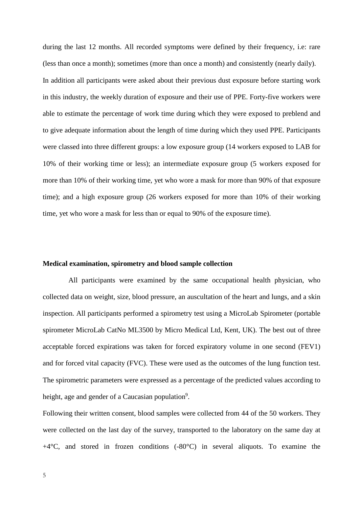during the last 12 months. All recorded symptoms were defined by their frequency, i.e: rare (less than once a month); sometimes (more than once a month) and consistently (nearly daily). In addition all participants were asked about their previous dust exposure before starting work in this industry, the weekly duration of exposure and their use of PPE. Forty-five workers were able to estimate the percentage of work time during which they were exposed to preblend and to give adequate information about the length of time during which they used PPE. Participants were classed into three different groups: a low exposure group (14 workers exposed to LAB for 10% of their working time or less); an intermediate exposure group (5 workers exposed for more than 10% of their working time, yet who wore a mask for more than 90% of that exposure time); and a high exposure group (26 workers exposed for more than 10% of their working time, yet who wore a mask for less than or equal to 90% of the exposure time).

#### **Medical examination, spirometry and blood sample collection**

All participants were examined by the same occupational health physician, who collected data on weight, size, blood pressure, an auscultation of the heart and lungs, and a skin inspection. All participants performed a spirometry test using a MicroLab Spirometer (portable spirometer MicroLab CatNo ML3500 by Micro Medical Ltd, Kent, UK). The best out of three acceptable forced expirations was taken for forced expiratory volume in one second (FEV1) and for forced vital capacity (FVC). These were used as the outcomes of the lung function test. The spirometric parameters were expressed as a percentage of the predicted values according to height, age and gender of a Caucasian population<sup>9</sup>.

Following their written consent, blood samples were collected from 44 of the 50 workers. They were collected on the last day of the survey, transported to the laboratory on the same day at  $+4^{\circ}$ C, and stored in frozen conditions (-80 $^{\circ}$ C) in several aliquots. To examine the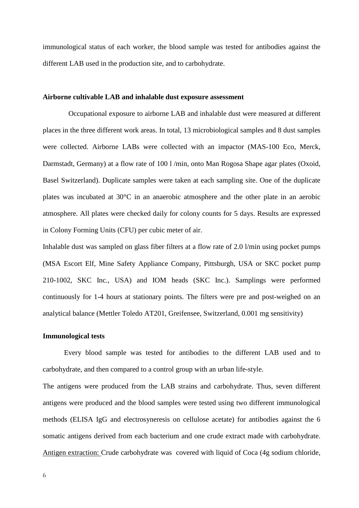immunological status of each worker, the blood sample was tested for antibodies against the different LAB used in the production site, and to carbohydrate.

# **Airborne cultivable LAB and inhalable dust exposure assessment**

Occupational exposure to airborne LAB and inhalable dust were measured at different places in the three different work areas. In total, 13 microbiological samples and 8 dust samples were collected. Airborne LABs were collected with an impactor (MAS-100 Eco, Merck, Darmstadt, Germany) at a flow rate of 100 l/min, onto Man Rogosa Shape agar plates (Oxoid, Basel Switzerland). Duplicate samples were taken at each sampling site. One of the duplicate plates was incubated at 30°C in an anaerobic atmosphere and the other plate in an aerobic atmosphere. All plates were checked daily for colony counts for 5 days. Results are expressed in Colony Forming Units (CFU) per cubic meter of air.

Inhalable dust was sampled on glass fiber filters at a flow rate of 2.0 l/min using pocket pumps (MSA Escort Elf, Mine Safety Appliance Company, Pittsburgh, USA or SKC pocket pump 210-1002, SKC Inc., USA) and IOM heads (SKC Inc.). Samplings were performed continuously for 1-4 hours at stationary points. The filters were pre and post-weighed on an analytical balance (Mettler Toledo AT201, Greifensee, Switzerland, 0.001 mg sensitivity)

#### **Immunological tests**

Every blood sample was tested for antibodies to the different LAB used and to carbohydrate, and then compared to a control group with an urban life-style.

The antigens were produced from the LAB strains and carbohydrate. Thus, seven different antigens were produced and the blood samples were tested using two different immunological methods (ELISA IgG and electrosyneresis on cellulose acetate) for antibodies against the 6 somatic antigens derived from each bacterium and one crude extract made with carbohydrate. Antigen extraction: Crude carbohydrate was covered with liquid of Coca (4g sodium chloride,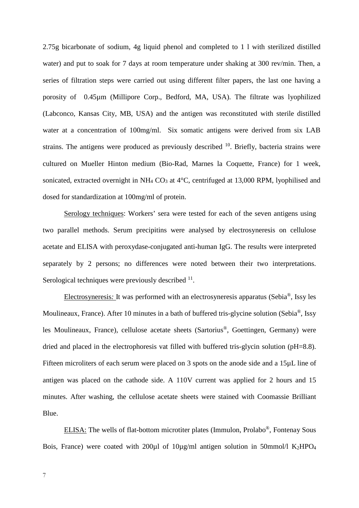2.75g bicarbonate of sodium, 4g liquid phenol and completed to 1 l with sterilized distilled water) and put to soak for 7 days at room temperature under shaking at 300 rev/min. Then, a series of filtration steps were carried out using different filter papers, the last one having a porosity of 0.45µm (Millipore Corp., Bedford, MA, USA). The filtrate was lyophilized (Labconco, Kansas City, MB, USA) and the antigen was reconstituted with sterile distilled water at a concentration of 100mg/ml. Six somatic antigens were derived from six LAB strains. The antigens were produced as previously described  $10$ . Briefly, bacteria strains were cultured on Mueller Hinton medium (Bio-Rad, Marnes la Coquette, France) for 1 week, sonicated, extracted overnight in NH<sub>4</sub> CO<sub>3</sub> at  $4^{\circ}$ C, centrifuged at 13,000 RPM, lyophilised and dosed for standardization at 100mg/ml of protein.

Serology techniques: Workers' sera were tested for each of the seven antigens using two parallel methods. Serum precipitins were analysed by electrosyneresis on cellulose acetate and ELISA with peroxydase-conjugated anti-human IgG. The results were interpreted separately by 2 persons; no differences were noted between their two interpretations. Serological techniques were previously described  $11$ .

Electrosyneresis*:* It was performed with an electrosyneresis apparatus (Sebia®, Issy les Moulineaux, France). After 10 minutes in a bath of buffered tris-glycine solution (Sebia®, Issy les Moulineaux, France), cellulose acetate sheets (Sartorius®, Goettingen, Germany) were dried and placed in the electrophoresis vat filled with buffered tris-glycin solution (pH=8.8). Fifteen microliters of each serum were placed on 3 spots on the anode side and a 15µL line of antigen was placed on the cathode side. A 110V current was applied for 2 hours and 15 minutes. After washing, the cellulose acetate sheets were stained with Coomassie Brilliant Blue.

ELISA: The wells of flat-bottom microtiter plates (Immulon, Prolabo®, Fontenay Sous Bois, France) were coated with  $200\mu$ l of  $10\mu$ g/ml antigen solution in 50mmol/l K<sub>2</sub>HPO<sub>4</sub>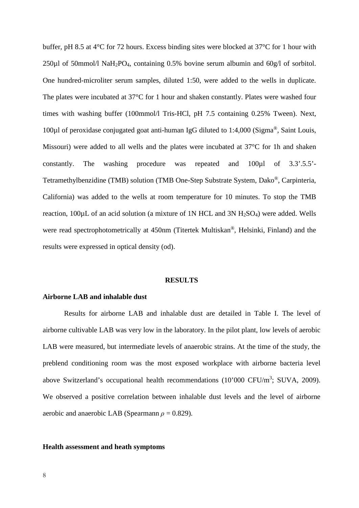buffer, pH 8.5 at 4°C for 72 hours. Excess binding sites were blocked at 37°C for 1 hour with 250µl of 50mmol/l NaH2PO4, containing 0.5% bovine serum albumin and 60g/l of sorbitol. One hundred-microliter serum samples, diluted 1:50, were added to the wells in duplicate. The plates were incubated at 37°C for 1 hour and shaken constantly. Plates were washed four times with washing buffer (100mmol/l Tris-HCl, pH 7.5 containing 0.25% Tween). Next, 100µl of peroxidase conjugated goat anti-human IgG diluted to 1:4,000 (Sigma®, Saint Louis, Missouri) were added to all wells and the plates were incubated at 37°C for 1h and shaken constantly. The washing procedure was repeated and 100µl of 3.3'.5.5'- Tetramethylbenzidine (TMB) solution (TMB One-Step Substrate System, Dako®, Carpinteria, California) was added to the wells at room temperature for 10 minutes. To stop the TMB reaction,  $100\mu$ L of an acid solution (a mixture of 1N HCL and 3N H<sub>2</sub>SO<sub>4</sub>) were added. Wells were read spectrophotometrically at 450nm (Titertek Multiskan®, Helsinki, Finland) and the results were expressed in optical density (od).

#### **RESULTS**

# **Airborne LAB and inhalable dust**

Results for airborne LAB and inhalable dust are detailed in Table I. The level of airborne cultivable LAB was very low in the laboratory. In the pilot plant, low levels of aerobic LAB were measured, but intermediate levels of anaerobic strains. At the time of the study, the preblend conditioning room was the most exposed workplace with airborne bacteria level above Switzerland's occupational health recommendations  $(10'000 \text{ CFU/m}^3; \text{SUVA}, 2009)$ . We observed a positive correlation between inhalable dust levels and the level of airborne aerobic and anaerobic LAB (Spearmann *ρ* = 0.829).

### **Health assessment and heath symptoms**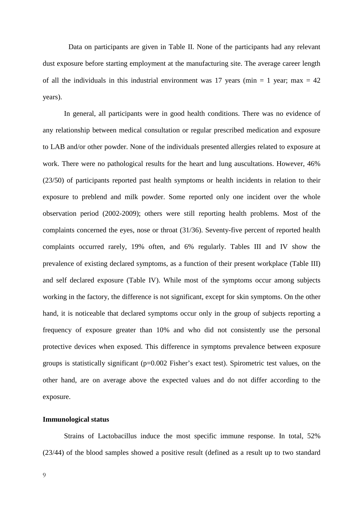Data on participants are given in Table II. None of the participants had any relevant dust exposure before starting employment at the manufacturing site. The average career length of all the individuals in this industrial environment was 17 years (min  $= 1$  year; max  $= 42$ ) years).

In general, all participants were in good health conditions. There was no evidence of any relationship between medical consultation or regular prescribed medication and exposure to LAB and/or other powder. None of the individuals presented allergies related to exposure at work. There were no pathological results for the heart and lung auscultations. However, 46% (23/50) of participants reported past health symptoms or health incidents in relation to their exposure to preblend and milk powder. Some reported only one incident over the whole observation period (2002-2009); others were still reporting health problems. Most of the complaints concerned the eyes, nose or throat (31/36). Seventy-five percent of reported health complaints occurred rarely, 19% often, and 6% regularly. Tables III and IV show the prevalence of existing declared symptoms, as a function of their present workplace (Table III) and self declared exposure (Table IV). While most of the symptoms occur among subjects working in the factory, the difference is not significant, except for skin symptoms. On the other hand, it is noticeable that declared symptoms occur only in the group of subjects reporting a frequency of exposure greater than 10% and who did not consistently use the personal protective devices when exposed. This difference in symptoms prevalence between exposure groups is statistically significant  $(p=0.002$  Fisher's exact test). Spirometric test values, on the other hand, are on average above the expected values and do not differ according to the exposure.

# **Immunological status**

Strains of Lactobacillus induce the most specific immune response. In total, 52% (23/44) of the blood samples showed a positive result (defined as a result up to two standard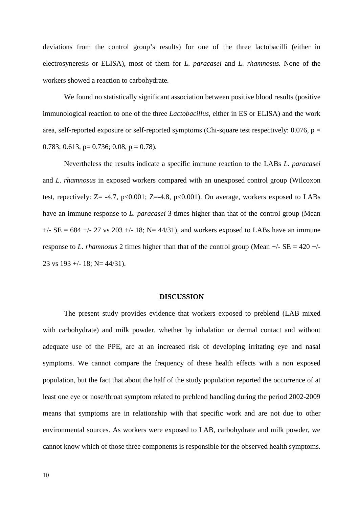deviations from the control group's results) for one of the three lactobacilli (either in electrosyneresis or ELISA), most of them for *L. paracasei* and *L. rhamnosus.* None of the workers showed a reaction to carbohydrate.

We found no statistically significant association between positive blood results (positive immunological reaction to one of the three *Lactobacillus*, either in ES or ELISA) and the work area, self-reported exposure or self-reported symptoms (Chi-square test respectively:  $0.076$ , p = 0.783; 0.613, p= 0.736; 0.08, p = 0.78).

Nevertheless the results indicate a specific immune reaction to the LABs *L. paracasei* and *L. rhamnosus* in exposed workers compared with an unexposed control group (Wilcoxon test, repectively:  $Z = -4.7$ ,  $p < 0.001$ ;  $Z = -4.8$ ,  $p < 0.001$ ). On average, workers exposed to LABs have an immune response to *L. paracasei* 3 times higher than that of the control group (Mean  $+/-$  SE = 684  $+/-$  27 vs 203  $+/-$  18; N= 44/31), and workers exposed to LABs have an immune response to *L. rhamnosus* 2 times higher than that of the control group (Mean  $+/-$  SE = 420  $+/-$ 23 vs  $193 + (-18; N = 44/31)$ .

#### **DISCUSSION**

The present study provides evidence that workers exposed to preblend (LAB mixed with carbohydrate) and milk powder, whether by inhalation or dermal contact and without adequate use of the PPE, are at an increased risk of developing irritating eye and nasal symptoms. We cannot compare the frequency of these health effects with a non exposed population, but the fact that about the half of the study population reported the occurrence of at least one eye or nose/throat symptom related to preblend handling during the period 2002-2009 means that symptoms are in relationship with that specific work and are not due to other environmental sources. As workers were exposed to LAB, carbohydrate and milk powder, we cannot know which of those three components is responsible for the observed health symptoms.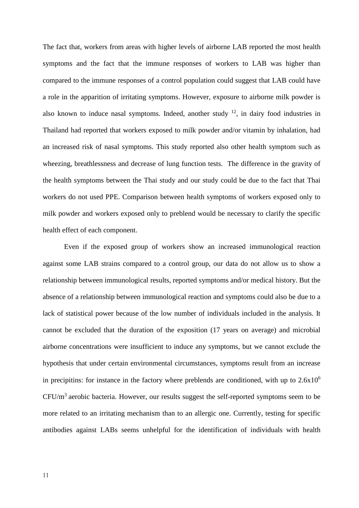The fact that, workers from areas with higher levels of airborne LAB reported the most health symptoms and the fact that the immune responses of workers to LAB was higher than compared to the immune responses of a control population could suggest that LAB could have a role in the apparition of irritating symptoms. However, exposure to airborne milk powder is also known to induce nasal symptoms. Indeed, another study  $12$ , in dairy food industries in Thailand had reported that workers exposed to milk powder and/or vitamin by inhalation, had an increased risk of nasal symptoms. This study reported also other health symptom such as wheezing, breathlessness and decrease of lung function tests. The difference in the gravity of the health symptoms between the Thai study and our study could be due to the fact that Thai workers do not used PPE. Comparison between health symptoms of workers exposed only to milk powder and workers exposed only to preblend would be necessary to clarify the specific health effect of each component.

Even if the exposed group of workers show an increased immunological reaction against some LAB strains compared to a control group, our data do not allow us to show a relationship between immunological results, reported symptoms and/or medical history. But the absence of a relationship between immunological reaction and symptoms could also be due to a lack of statistical power because of the low number of individuals included in the analysis. It cannot be excluded that the duration of the exposition (17 years on average) and microbial airborne concentrations were insufficient to induce any symptoms, but we cannot exclude the hypothesis that under certain environmental circumstances, symptoms result from an increase in precipitins: for instance in the factory where preblends are conditioned, with up to  $2.6x10^6$  $CFU/m<sup>3</sup>$  aerobic bacteria. However, our results suggest the self-reported symptoms seem to be more related to an irritating mechanism than to an allergic one. Currently, testing for specific antibodies against LABs seems unhelpful for the identification of individuals with health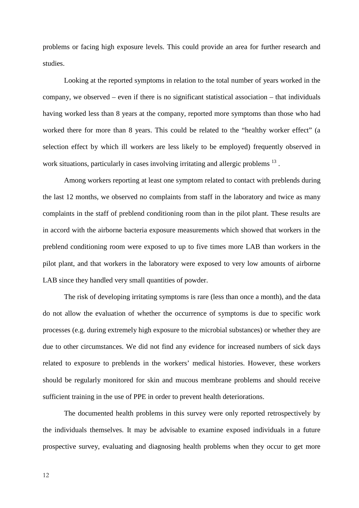problems or facing high exposure levels. This could provide an area for further research and studies.

Looking at the reported symptoms in relation to the total number of years worked in the company, we observed – even if there is no significant statistical association – that individuals having worked less than 8 years at the company, reported more symptoms than those who had worked there for more than 8 years. This could be related to the "healthy worker effect" (a selection effect by which ill workers are less likely to be employed) frequently observed in work situations, particularly in cases involving irritating and allergic problems <sup>13</sup>.

Among workers reporting at least one symptom related to contact with preblends during the last 12 months, we observed no complaints from staff in the laboratory and twice as many complaints in the staff of preblend conditioning room than in the pilot plant. These results are in accord with the airborne bacteria exposure measurements which showed that workers in the preblend conditioning room were exposed to up to five times more LAB than workers in the pilot plant, and that workers in the laboratory were exposed to very low amounts of airborne LAB since they handled very small quantities of powder.

The risk of developing irritating symptoms is rare (less than once a month), and the data do not allow the evaluation of whether the occurrence of symptoms is due to specific work processes (e.g. during extremely high exposure to the microbial substances) or whether they are due to other circumstances. We did not find any evidence for increased numbers of sick days related to exposure to preblends in the workers' medical histories. However, these workers should be regularly monitored for skin and mucous membrane problems and should receive sufficient training in the use of PPE in order to prevent health deteriorations.

The documented health problems in this survey were only reported retrospectively by the individuals themselves. It may be advisable to examine exposed individuals in a future prospective survey, evaluating and diagnosing health problems when they occur to get more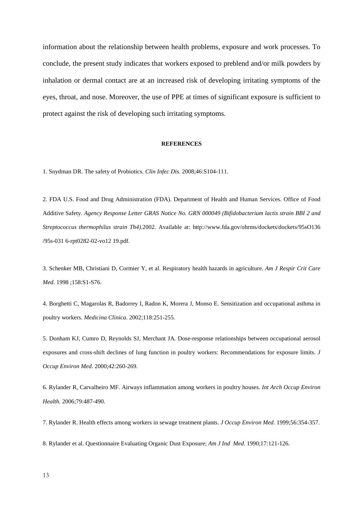information about the relationship between health problems, exposure and work processes. To conclude, the present study indicates that workers exposed to preblend and/or milk powders by inhalation or dermal contact are at an increased risk of developing irritating symptoms of the eyes, throat, and nose. Moreover, the use of PPE at times of significant exposure is sufficient to protect against the risk of developing such irritating symptoms.

#### **REFERENCES**

1. Snydman DR. The safety of Probiotics. *Clin Infec Dis*. 2008;46:S104-111.

2. FDA U.S. Food and Drug Administration (FDA). Department of Health and Human Services. Office of Food Additive Safety. *Agency Response Letter GRAS Notice No. GRN 000049 (Bifidobacterium lactis strain BBI 2 and Streptococcus thermophilus strain Th4).*2002. Available at: http://www.fda.gov/ohrms/dockets/dockets/95sO136 /95s-031 6-rpt0282-02-vo12 19.pdf.

3. Schenker MB, Christiani D, Cormier Y, et al. Respiratory health hazards in agriculture. *Am J Respir Crit Care Med.* 1998 ;158:S1-S76.

4. Borghetti C, Magarolas R, Badorrey I, Radon K, Morera J, Monso E. Sensitization and occupational asthma in poultry workers. *Medicina Clinica*. 2002;118:251-255.

5. Donham KJ, Cumro D, Reynolds SJ, Merchant JA. Dose-response relationships between occupational aerosol exposures and cross-shift declines of lung function in poultry workers: Recommendations for exposure limits. *J Occup Environ Med*. 2000;42:260-269.

6. Rylander R, Carvalheiro MF. Airways inflammation among workers in poultry houses. *Int Arch Occup Environ Health.* 2006;79:487-490.

7. Rylander R. Health effects among workers in sewage treatment plants. *J Occup Environ Med*. 1999;56:354-357.

8. Rylander et al. Questionnaire Evaluating Organic Dust Exposure; *Am J Ind Med.* 1990;17:121-126.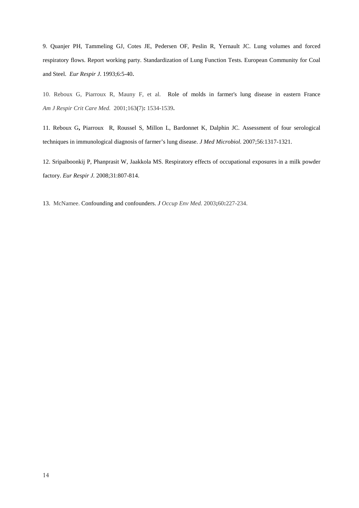9. Quanjer PH, Tammeling GJ, Cotes JE, Pedersen OF, Peslin R, Yernault JC. Lung volumes and forced respiratory flows. Report working party. Standardization of Lung Function Tests. European Community for Coal and Steel. *Eur Respir J*. 1993;6:5-40**.**

10. Reboux G, Piarroux R, Mauny F, et al. [Role of molds in farmer's lung disease in eastern France](http://apps.webofknowledge.com/full_record.do?product=WOS&search_mode=GeneralSearch&qid=5&SID=T14CM9eAJ@6Don3jfHD&page=1&doc=2)  *Am J Respir Crit Care Med.* 2001;163**(**7)**:** 1534-1539**.**

11. Reboux G**,** Piarroux R, Roussel S, Millon L, Bardonnet K, Dalphin JC. Assessment of four serological techniques in immunological diagnosis of farmer's lung disease. *J Med Microbiol.* 2007;56:1317-1321.

12. Sripaiboonkij P, Phanprasit W, Jaakkola MS. Respiratory effects of occupational exposures in a milk powder factory. *Eur Respir J.* 2008;31:807-814.

13. McNamee. [Confounding and confounders.](http://apps.webofknowledge.com/full_record.do?product=WOS&search_mode=GeneralSearch&qid=6&SID=N219@7jH9mo7@p2hmaj&page=3&doc=25) *J Occup Env Med*. 2003**;**60**:**227-234.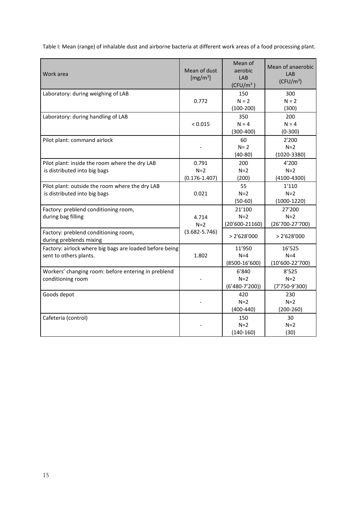Table I: Mean (range) of inhalable dust and airborne bacteria at different work areas of a food processing plant.

| Work area                                                                         | Mean of dust<br>[ $mg/m3$ ]         | Mean of<br>aerobic<br>LAB                    | Mean of anaerobic<br>LAB<br>(CFU/m <sup>3</sup> ) |
|-----------------------------------------------------------------------------------|-------------------------------------|----------------------------------------------|---------------------------------------------------|
| Laboratory: during weighing of LAB                                                | 0.772                               | $(CFU/m^3)$<br>150<br>$N = 2$<br>$(100-200)$ | 300<br>$N = 2$<br>(300)                           |
| Laboratory: during handling of LAB                                                | < 0.015                             | 350<br>$N = 4$<br>$(300-400)$                | 200<br>$N = 4$<br>$(0-300)$                       |
| Pilot plant: command airlock                                                      |                                     | 60<br>$N = 2$<br>$(40-80)$                   | 2'200<br>$N=2$<br>$(1020 - 3380)$                 |
| Pilot plant: inside the room where the dry LAB<br>is distributed into big bags    | 0.791<br>$N=2$<br>$(0.176 - 1.407)$ | 200<br>$N=2$<br>(200)                        | 4'200<br>$N=2$<br>$(4100 - 4300)$                 |
| Pilot plant: outside the room where the dry LAB<br>is distributed into big bags   | 0.021                               | 55<br>$N=2$<br>$(50-60)$                     | 1'110<br>$N=2$<br>$(1000-1220)$                   |
| Factory: preblend conditioning room,<br>during bag filling                        | 4.714<br>$N=2$                      | 21'100<br>$N=2$<br>$(20'600 - 21160)$        | 27'200<br>$N=2$<br>(26'700-27'700)                |
| Factory: preblend conditioning room,<br>during preblends mixing                   | $(3.682 - 5.746)$                   | > 2'628'000                                  | > 2'628'000                                       |
| Factory: airlock where big bags are loaded before being<br>sent to others plants. | 1.802                               | 11'950<br>$N = 4$<br>$(8500-16'600)$         | 16'525<br>$N=4$<br>$(10'600 - 22'700)$            |
| Workers' changing room: before entering in preblend<br>conditioning room          |                                     | 6'840<br>$N=2$<br>$(6'480-7'200)$            | 8'525<br>$N=2$<br>$(7'750-9'300)$                 |
| Goods depot                                                                       |                                     | 420<br>$N=2$<br>$(400-440)$                  | 230<br>$N=2$<br>$(200-260)$                       |
| Cafeteria (control)                                                               |                                     | 150<br>$N=2$<br>$(140-160)$                  | 30<br>$N=2$<br>(30)                               |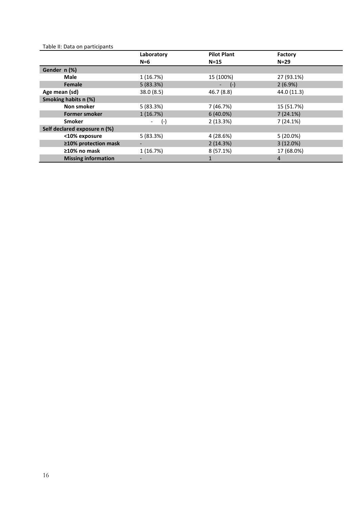# Table II: Data on participants

|                              | Laboratory | <b>Pilot Plant</b> | Factory     |
|------------------------------|------------|--------------------|-------------|
|                              | $N=6$      | $N=15$             | $N=29$      |
| Gender n (%)                 |            |                    |             |
| <b>Male</b>                  | 1(16.7%)   | 15 (100%)          | 27 (93.1%)  |
| Female                       | 5(83.3%)   | $(-)$              | 2(6.9%)     |
| Age mean (sd)                | 38.0 (8.5) | 46.7(8.8)          | 44.0 (11.3) |
| Smoking habits n (%)         |            |                    |             |
| Non smoker                   | 5(83.3%)   | 7 (46.7%)          | 15 (51.7%)  |
| <b>Former smoker</b>         | 1(16.7%)   | $6(40.0\%)$        | 7(24.1%)    |
| <b>Smoker</b>                | $(-)$      | 2(13.3%)           | 7(24.1%)    |
| Self declared exposure n (%) |            |                    |             |
| <10% exposure                | 5(83.3%)   | 4 (28.6%)          | $5(20.0\%)$ |
| $\geq$ 10% protection mask   |            | 2(14.3%)           | 3(12.0%)    |
| $\geq$ 10% no mask           | 1(16.7%)   | $8(57.1\%)$        | 17 (68.0%)  |
| <b>Missing information</b>   |            |                    | 4           |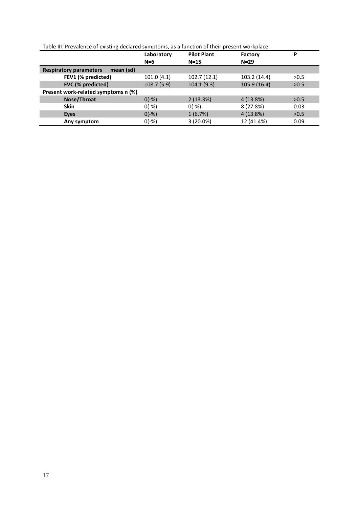| Table III: Prevalence of existing declared symptoms, as a function of their present workplace |  |
|-----------------------------------------------------------------------------------------------|--|
|                                                                                               |  |

|                                            | Laboratory | <b>Pilot Plant</b> | Factory      | P    |
|--------------------------------------------|------------|--------------------|--------------|------|
|                                            | $N=6$      | $N=15$             | $N=29$       |      |
| <b>Respiratory parameters</b><br>mean (sd) |            |                    |              |      |
| FEV1 (% predicted)                         | 101.0(4.1) | 102.7(12.1)        | 103.2 (14.4) | >0.5 |
| FVC (% predicted)                          | 108.7(5.9) | 104.1(9.3)         | 105.9 (16.4) | >0.5 |
| Present work-related symptoms n (%)        |            |                    |              |      |
| Nose/Throat                                | $0(-%)$    | 2(13.3%)           | $4(13.8\%)$  | >0.5 |
| <b>Skin</b>                                | $0(-% )$   | $0(-% )$           | 8 (27.8%)    | 0.03 |
| <b>Eyes</b>                                | $0(-%)$    | 1(6.7%)            | 4(13.8%)     | >0.5 |
| Any symptom                                | $0(-%)$    | $3(20.0\%)$        | 12 (41.4%)   | 0.09 |